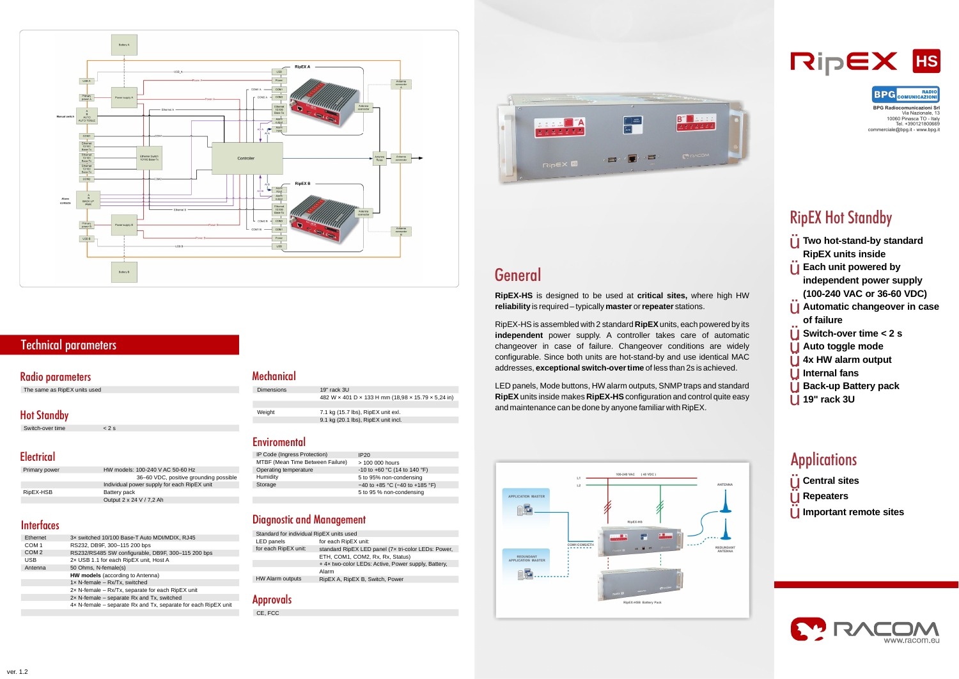

## **Technical parameters**

#### **Radio parameters**

RipEX-HS is assembled with 2 standard RipEX units, each powered by its **independent**  power supply. A controller takes care of automatic addresses, **exceptional switch-over time** of less than 2s is achieved. changeover in case of failure. Changeover conditions are widely configurable. Since both units are hot-stand-by and use identical MAC

RipEX units inside makes RipEX-HS configuration and control quite easy LED panels, Mode buttons, HW alarm outputs, SNMP traps and standard and maintenance can be done by anyone familiar with RipEX.



**Two hot-stand-by standard** Ÿ **RipEX units inside Each unit powered by independent power supply (100-240 VAC or 36-60 VDC) Automatic changeover in case** Ÿ **of failure Switch-over time < 2 s Auto toggle mode 4x HW alarm output Internal fans Back-up Battery pack 19" rack 3U**  Ÿ Ÿ Ÿ Ÿ Ÿ Ÿ Ÿ

# **Applications**

The same as RipEX units used

#### **Hot Standby**

Via Nazionale, 13 10060 Pinasca TO - Italy Tel. +390121800669 commerciale@bpg.it - www.bpg.it



# **RipEX Hot Standby**

| Ethernet         | 3x switched 10/100 Base-T Auto MDI/MDIX, RJ45                  |
|------------------|----------------------------------------------------------------|
| COM 1            | RS232, DB9F, 300-115 200 bps                                   |
| COM <sub>2</sub> | RS232/RS485 SW configurable, DB9F, 300-115 200 bps             |
| <b>USB</b>       | 2x USB 1.1 for each RipEX unit, Host A                         |
| Antenna          | 50 Ohms, N-female(s)                                           |
|                  | <b>HW models</b> (according to Antenna)                        |
|                  | $1 \times N$ -female – Rx/Tx, switched                         |
|                  | $2x$ N-female – Rx/Tx, separate for each RipEX unit            |
|                  | $2x$ N-female – separate Rx and Tx, switched                   |
|                  | 4x N-female – separate Rx and Tx, separate for each RipEX unit |
|                  |                                                                |

#### **Mechanical**

| IP Code (Ingress Protection)     | IP20                             |
|----------------------------------|----------------------------------|
| MTBF (Mean Time Between Failure) | > 100 000 hours                  |
| Operating temperature            | $-10$ to $+60$ °C (14 to 140 °F) |
| Humidity                         | 5 to 95% non-condensing          |
| Storage                          | $-40$ to +85 °C (-40 to +185 °F) |
|                                  | 5 to 95 % non-condensing         |
|                                  |                                  |

#### **Diagnostic and Management**

| Primary power | HW models: 100-240 V AC 50-60 Hz            |
|---------------|---------------------------------------------|
|               | 36–60 VDC, positive grounding possible      |
|               | Individual power supply for each RipEX unit |
| RipEX-HSB     | Battery pack                                |
|               | Output 2 x 24 V / 7,2 Ah                    |

#### **Interfaces**

| <b>Dimensions</b> | $19"$ rack $3U$                                    |
|-------------------|----------------------------------------------------|
|                   | 482 W x 401 D x 133 H mm (18,98 x 15.79 x 5,24 in) |
|                   |                                                    |
| Weight            | 7.1 kg (15.7 lbs), RipEX unit exl.                 |
|                   | 9.1 kg (20.1 lbs), RipEX unit incl.                |

#### **Enviromental**

CE, FCC



## **General**

**RipEX-HS** is designed to be used at critical sites, where high HW **reliability** is required – typically master or repeater stations.

| Standard for individual RipEX units used |                                                     |  |
|------------------------------------------|-----------------------------------------------------|--|
| LED panels                               | for each RipEX unit:                                |  |
| for each RipEX unit:                     | standard RipEX LED panel (7x tri-color LEDs: Power, |  |
|                                          | ETH, COM1, COM2, Rx, Rx, Status)                    |  |
|                                          | +4x two-color LEDs: Active, Power supply, Battery,  |  |
|                                          | Alarm                                               |  |
| HW Alarm outputs                         | RipEX A, RipEX B, Switch, Power                     |  |

#### **Approvals**



- **Central sites** Ÿ
- **Repeaters**

**Important remote sites**



Ÿ Ÿ

Switch-over time < 2 s

#### **Electrical**